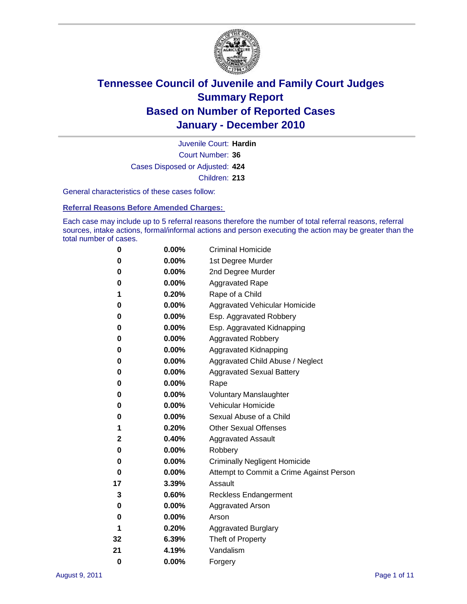

Court Number: **36** Juvenile Court: **Hardin** Cases Disposed or Adjusted: **424** Children: **213**

General characteristics of these cases follow:

**Referral Reasons Before Amended Charges:** 

Each case may include up to 5 referral reasons therefore the number of total referral reasons, referral sources, intake actions, formal/informal actions and person executing the action may be greater than the total number of cases.

| 0  | 0.00% | <b>Criminal Homicide</b>                 |
|----|-------|------------------------------------------|
| 0  | 0.00% | 1st Degree Murder                        |
| 0  | 0.00% | 2nd Degree Murder                        |
| 0  | 0.00% | <b>Aggravated Rape</b>                   |
| 1  | 0.20% | Rape of a Child                          |
| 0  | 0.00% | Aggravated Vehicular Homicide            |
| 0  | 0.00% | Esp. Aggravated Robbery                  |
| 0  | 0.00% | Esp. Aggravated Kidnapping               |
| 0  | 0.00% | <b>Aggravated Robbery</b>                |
| 0  | 0.00% | Aggravated Kidnapping                    |
| 0  | 0.00% | Aggravated Child Abuse / Neglect         |
| 0  | 0.00% | <b>Aggravated Sexual Battery</b>         |
| 0  | 0.00% | Rape                                     |
| 0  | 0.00% | <b>Voluntary Manslaughter</b>            |
| 0  | 0.00% | Vehicular Homicide                       |
| 0  | 0.00% | Sexual Abuse of a Child                  |
| 1  | 0.20% | <b>Other Sexual Offenses</b>             |
| 2  | 0.40% | <b>Aggravated Assault</b>                |
| 0  | 0.00% | Robbery                                  |
| 0  | 0.00% | <b>Criminally Negligent Homicide</b>     |
| 0  | 0.00% | Attempt to Commit a Crime Against Person |
| 17 | 3.39% | Assault                                  |
| 3  | 0.60% | <b>Reckless Endangerment</b>             |
| 0  | 0.00% | <b>Aggravated Arson</b>                  |
| 0  | 0.00% | Arson                                    |
| 1  | 0.20% | <b>Aggravated Burglary</b>               |
| 32 | 6.39% | Theft of Property                        |
| 21 | 4.19% | Vandalism                                |
| 0  | 0.00% | Forgery                                  |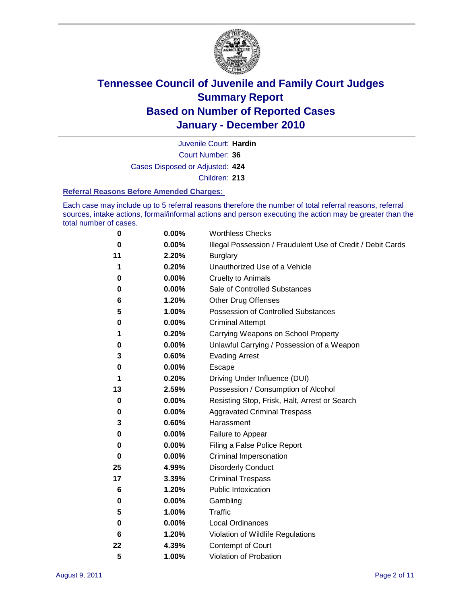

Court Number: **36** Juvenile Court: **Hardin** Cases Disposed or Adjusted: **424** Children: **213**

#### **Referral Reasons Before Amended Charges:**

Each case may include up to 5 referral reasons therefore the number of total referral reasons, referral sources, intake actions, formal/informal actions and person executing the action may be greater than the total number of cases.

| 0  | 0.00% | <b>Worthless Checks</b>                                     |
|----|-------|-------------------------------------------------------------|
| 0  | 0.00% | Illegal Possession / Fraudulent Use of Credit / Debit Cards |
| 11 | 2.20% | <b>Burglary</b>                                             |
| 1  | 0.20% | Unauthorized Use of a Vehicle                               |
| 0  | 0.00% | <b>Cruelty to Animals</b>                                   |
| 0  | 0.00% | Sale of Controlled Substances                               |
| 6  | 1.20% | <b>Other Drug Offenses</b>                                  |
| 5  | 1.00% | Possession of Controlled Substances                         |
| 0  | 0.00% | <b>Criminal Attempt</b>                                     |
| 1  | 0.20% | Carrying Weapons on School Property                         |
| 0  | 0.00% | Unlawful Carrying / Possession of a Weapon                  |
| 3  | 0.60% | <b>Evading Arrest</b>                                       |
| 0  | 0.00% | Escape                                                      |
| 1  | 0.20% | Driving Under Influence (DUI)                               |
| 13 | 2.59% | Possession / Consumption of Alcohol                         |
| 0  | 0.00% | Resisting Stop, Frisk, Halt, Arrest or Search               |
| 0  | 0.00% | <b>Aggravated Criminal Trespass</b>                         |
| 3  | 0.60% | Harassment                                                  |
| 0  | 0.00% | Failure to Appear                                           |
| 0  | 0.00% | Filing a False Police Report                                |
| 0  | 0.00% | Criminal Impersonation                                      |
| 25 | 4.99% | <b>Disorderly Conduct</b>                                   |
| 17 | 3.39% | <b>Criminal Trespass</b>                                    |
| 6  | 1.20% | <b>Public Intoxication</b>                                  |
| 0  | 0.00% | Gambling                                                    |
| 5  | 1.00% | <b>Traffic</b>                                              |
| 0  | 0.00% | <b>Local Ordinances</b>                                     |
| 6  | 1.20% | Violation of Wildlife Regulations                           |
| 22 | 4.39% | Contempt of Court                                           |
| 5  | 1.00% | Violation of Probation                                      |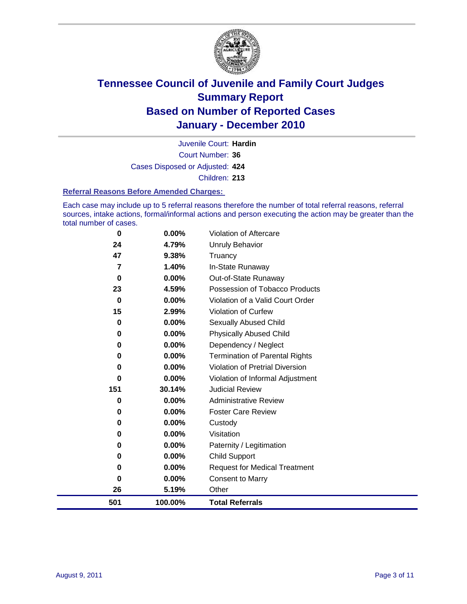

Court Number: **36** Juvenile Court: **Hardin** Cases Disposed or Adjusted: **424** Children: **213**

#### **Referral Reasons Before Amended Charges:**

Each case may include up to 5 referral reasons therefore the number of total referral reasons, referral sources, intake actions, formal/informal actions and person executing the action may be greater than the total number of cases.

| 501      | 100.00%  | <b>Total Referrals</b>                 |
|----------|----------|----------------------------------------|
| 26       | 5.19%    | Other                                  |
| 0        | 0.00%    | <b>Consent to Marry</b>                |
| 0        | $0.00\%$ | <b>Request for Medical Treatment</b>   |
| 0        | $0.00\%$ | <b>Child Support</b>                   |
| 0        | $0.00\%$ | Paternity / Legitimation               |
| 0        | $0.00\%$ | Visitation                             |
| 0        | $0.00\%$ | Custody                                |
| 0        | 0.00%    | <b>Foster Care Review</b>              |
| 0        | $0.00\%$ | <b>Administrative Review</b>           |
| 151      | 30.14%   | <b>Judicial Review</b>                 |
| 0        | 0.00%    | Violation of Informal Adjustment       |
| 0        | $0.00\%$ | <b>Violation of Pretrial Diversion</b> |
| 0        | $0.00\%$ | <b>Termination of Parental Rights</b>  |
| 0        | $0.00\%$ | Dependency / Neglect                   |
| 0        | $0.00\%$ | <b>Physically Abused Child</b>         |
| 0        | 0.00%    | <b>Sexually Abused Child</b>           |
| 15       | 2.99%    | Violation of Curfew                    |
| $\bf{0}$ | $0.00\%$ | Violation of a Valid Court Order       |
| 23       | 4.59%    | Possession of Tobacco Products         |
| 0        | $0.00\%$ | Out-of-State Runaway                   |
| 7        | 1.40%    | In-State Runaway                       |
| 47       | 9.38%    | Truancy                                |
| 24       | 4.79%    | Unruly Behavior                        |
| $\bf{0}$ | $0.00\%$ | Violation of Aftercare                 |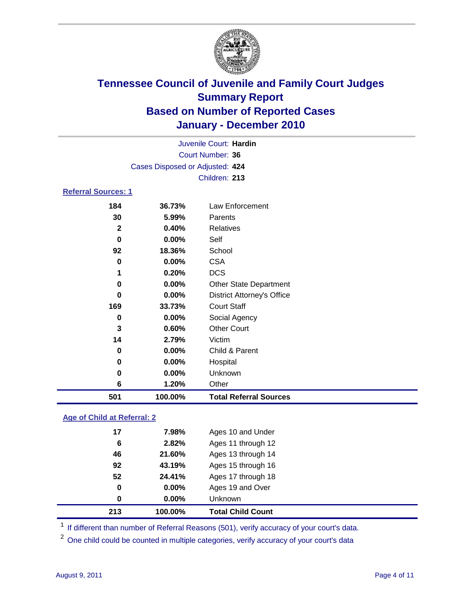

|                            |                                 | Juvenile Court: Hardin            |  |  |
|----------------------------|---------------------------------|-----------------------------------|--|--|
| <b>Court Number: 36</b>    |                                 |                                   |  |  |
|                            | Cases Disposed or Adjusted: 424 |                                   |  |  |
|                            |                                 | Children: 213                     |  |  |
| <b>Referral Sources: 1</b> |                                 |                                   |  |  |
| 184                        | 36.73%                          | Law Enforcement                   |  |  |
| 30                         | 5.99%                           | Parents                           |  |  |
| $\mathbf{2}$               | 0.40%                           | Relatives                         |  |  |
| 0                          | 0.00%                           | Self                              |  |  |
| 92                         | 18.36%                          | School                            |  |  |
| 0                          | 0.00%                           | <b>CSA</b>                        |  |  |
| 1                          | 0.20%                           | <b>DCS</b>                        |  |  |
| 0                          | $0.00\%$                        | <b>Other State Department</b>     |  |  |
| 0                          | 0.00%                           | <b>District Attorney's Office</b> |  |  |
| 169                        | 33.73%                          | <b>Court Staff</b>                |  |  |
| 0                          | $0.00\%$                        | Social Agency                     |  |  |
| 3                          | 0.60%                           | <b>Other Court</b>                |  |  |
| 14                         | 2.79%                           | Victim                            |  |  |
| 0                          | $0.00\%$                        | Child & Parent                    |  |  |
| 0                          | 0.00%                           | Hospital                          |  |  |
| 0                          | $0.00\%$                        | Unknown                           |  |  |
| 6                          | 1.20%                           | Other                             |  |  |
| 501                        | 100.00%                         | <b>Total Referral Sources</b>     |  |  |

### **Age of Child at Referral: 2**

| 0  | 0.00%  | <b>Unknown</b>     |
|----|--------|--------------------|
|    |        |                    |
| 0  | 0.00%  | Ages 19 and Over   |
| 52 | 24.41% | Ages 17 through 18 |
| 92 | 43.19% | Ages 15 through 16 |
| 46 | 21.60% | Ages 13 through 14 |
| 6  | 2.82%  | Ages 11 through 12 |
| 17 | 7.98%  | Ages 10 and Under  |
|    |        |                    |

<sup>1</sup> If different than number of Referral Reasons (501), verify accuracy of your court's data.

<sup>2</sup> One child could be counted in multiple categories, verify accuracy of your court's data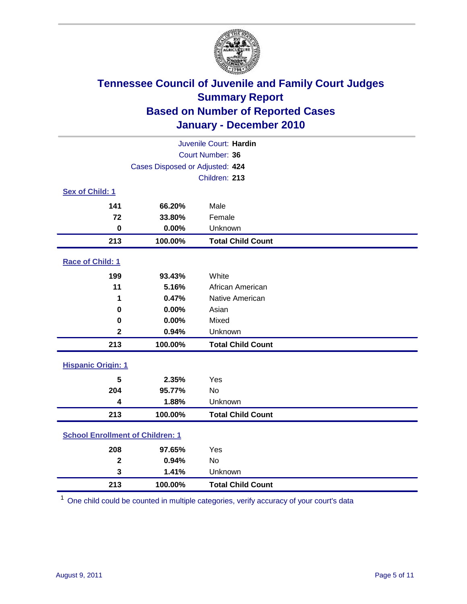

| Juvenile Court: Hardin    |                                         |                          |  |  |  |
|---------------------------|-----------------------------------------|--------------------------|--|--|--|
|                           | Court Number: 36                        |                          |  |  |  |
|                           | Cases Disposed or Adjusted: 424         |                          |  |  |  |
|                           |                                         | Children: 213            |  |  |  |
| Sex of Child: 1           |                                         |                          |  |  |  |
| 141                       | 66.20%                                  | Male                     |  |  |  |
| 72                        | 33.80%                                  | Female                   |  |  |  |
| $\mathbf 0$               | 0.00%                                   | Unknown                  |  |  |  |
| 213                       | 100.00%                                 | <b>Total Child Count</b> |  |  |  |
| Race of Child: 1          |                                         |                          |  |  |  |
| 199                       | 93.43%                                  | White                    |  |  |  |
| 11                        | 5.16%                                   | African American         |  |  |  |
| 1                         | 0.47%                                   | Native American          |  |  |  |
| $\mathbf 0$               | 0.00%                                   | Asian                    |  |  |  |
| $\mathbf 0$               | 0.00%                                   | Mixed                    |  |  |  |
| $\overline{2}$            | 0.94%                                   | Unknown                  |  |  |  |
| 213                       | 100.00%                                 | <b>Total Child Count</b> |  |  |  |
| <b>Hispanic Origin: 1</b> |                                         |                          |  |  |  |
| 5                         | 2.35%                                   | Yes                      |  |  |  |
| 204                       | 95.77%                                  | No                       |  |  |  |
| $\overline{\mathbf{4}}$   | 1.88%                                   | Unknown                  |  |  |  |
| 213                       | 100.00%                                 | <b>Total Child Count</b> |  |  |  |
|                           | <b>School Enrollment of Children: 1</b> |                          |  |  |  |
| 208                       | 97.65%                                  | Yes                      |  |  |  |
| $\overline{\mathbf{2}}$   | 0.94%                                   | <b>No</b>                |  |  |  |
| 3                         | 1.41%                                   | Unknown                  |  |  |  |
| 213                       | 100.00%                                 | <b>Total Child Count</b> |  |  |  |

One child could be counted in multiple categories, verify accuracy of your court's data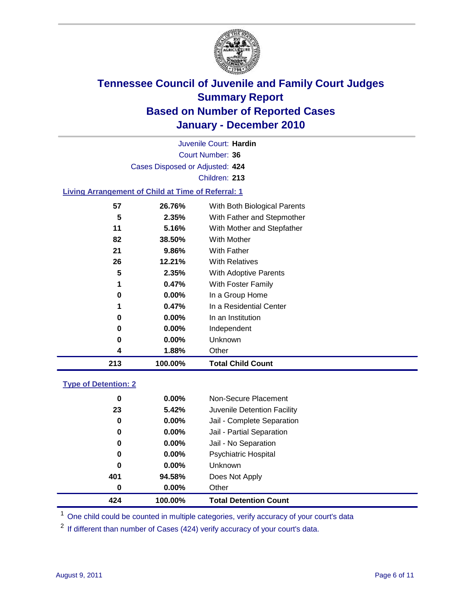

Court Number: **36** Juvenile Court: **Hardin** Cases Disposed or Adjusted: **424** Children: **213**

### **Living Arrangement of Child at Time of Referral: 1**

| 213 | 100.00%  | <b>Total Child Count</b>     |
|-----|----------|------------------------------|
| 4   | 1.88%    | Other                        |
| 0   | 0.00%    | Unknown                      |
| 0   | $0.00\%$ | Independent                  |
| 0   | $0.00\%$ | In an Institution            |
| 1   | 0.47%    | In a Residential Center      |
| 0   | $0.00\%$ | In a Group Home              |
| 1   | 0.47%    | With Foster Family           |
| 5   | 2.35%    | With Adoptive Parents        |
| 26  | 12.21%   | <b>With Relatives</b>        |
| 21  | 9.86%    | With Father                  |
| 82  | 38.50%   | With Mother                  |
| 11  | 5.16%    | With Mother and Stepfather   |
| 5   | 2.35%    | With Father and Stepmother   |
| 57  | 26.76%   | With Both Biological Parents |
|     |          |                              |

### **Type of Detention: 2**

| 424 | 100.00%  | <b>Total Detention Count</b> |  |
|-----|----------|------------------------------|--|
| 0   | $0.00\%$ | Other                        |  |
| 401 | 94.58%   | Does Not Apply               |  |
| 0   | $0.00\%$ | Unknown                      |  |
| 0   | 0.00%    | <b>Psychiatric Hospital</b>  |  |
| 0   | 0.00%    | Jail - No Separation         |  |
| 0   | $0.00\%$ | Jail - Partial Separation    |  |
| 0   | 0.00%    | Jail - Complete Separation   |  |
| 23  | 5.42%    | Juvenile Detention Facility  |  |
| 0   | $0.00\%$ | Non-Secure Placement         |  |
|     |          |                              |  |

<sup>1</sup> One child could be counted in multiple categories, verify accuracy of your court's data

<sup>2</sup> If different than number of Cases (424) verify accuracy of your court's data.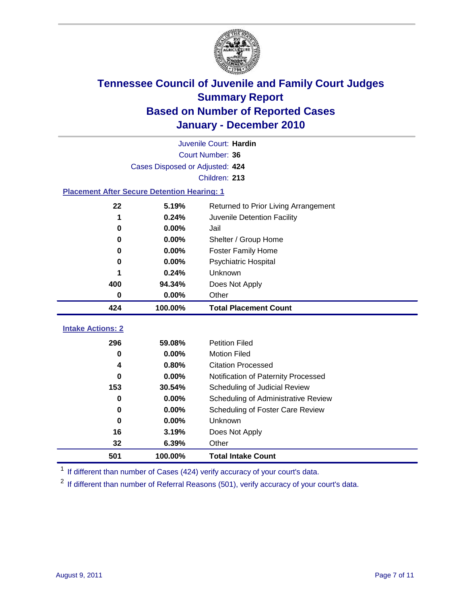

|                                                    |                                 | Juvenile Court: Hardin               |
|----------------------------------------------------|---------------------------------|--------------------------------------|
|                                                    |                                 | Court Number: 36                     |
|                                                    | Cases Disposed or Adjusted: 424 |                                      |
|                                                    |                                 | Children: 213                        |
| <b>Placement After Secure Detention Hearing: 1</b> |                                 |                                      |
| 22                                                 | 5.19%                           | Returned to Prior Living Arrangement |
| 1                                                  | 0.24%                           | Juvenile Detention Facility          |
| 0                                                  | 0.00%                           | Jail                                 |
| 0                                                  | 0.00%                           | Shelter / Group Home                 |
| 0                                                  | 0.00%                           | Foster Family Home                   |
| 0                                                  | 0.00%                           | Psychiatric Hospital                 |
|                                                    | 0.24%                           | Unknown                              |
| 400                                                | 94.34%                          | Does Not Apply                       |
| 0                                                  | 0.00%                           | Other                                |
| 424                                                | 100.00%                         | <b>Total Placement Count</b>         |
|                                                    |                                 |                                      |
| <b>Intake Actions: 2</b>                           |                                 |                                      |
| 296                                                | 59.08%                          | <b>Petition Filed</b>                |
| 0                                                  | 0.00%                           | <b>Motion Filed</b>                  |
| 4                                                  | 0.80%                           | <b>Citation Processed</b>            |
| $\bf{0}$                                           | 0.00%                           | Notification of Paternity Processed  |
| 153                                                | 30.54%                          | Scheduling of Judicial Review        |
| 0                                                  | 0.00%                           | Scheduling of Administrative Review  |
| 0                                                  | 0.00%                           | Scheduling of Foster Care Review     |
| 0                                                  | 0.00%                           | Unknown                              |
| 16                                                 | 3.19%                           | Does Not Apply                       |
| 32                                                 | 6.39%                           | Other                                |
| 501                                                | 100.00%                         | <b>Total Intake Count</b>            |

<sup>1</sup> If different than number of Cases (424) verify accuracy of your court's data.

<sup>2</sup> If different than number of Referral Reasons (501), verify accuracy of your court's data.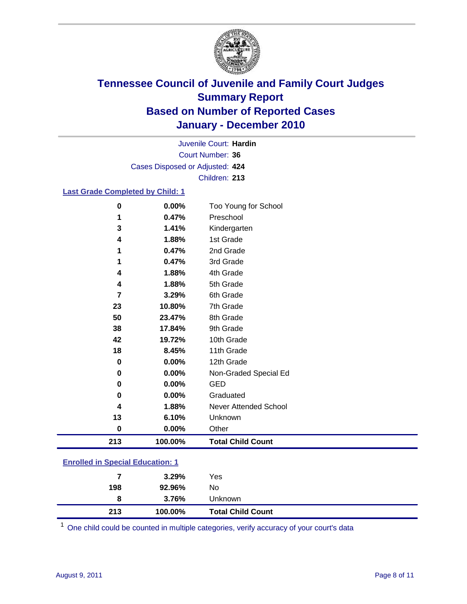

Court Number: **36** Juvenile Court: **Hardin** Cases Disposed or Adjusted: **424** Children: **213**

### **Last Grade Completed by Child: 1**

| 1        | 0.47%   | Preschool                    |
|----------|---------|------------------------------|
| 3        | 1.41%   | Kindergarten                 |
| 4        | 1.88%   | 1st Grade                    |
| 1        | 0.47%   | 2nd Grade                    |
| 1        | 0.47%   | 3rd Grade                    |
| 4        | 1.88%   | 4th Grade                    |
| 4        | 1.88%   | 5th Grade                    |
| 7        | 3.29%   | 6th Grade                    |
| 23       | 10.80%  | 7th Grade                    |
| 50       | 23.47%  | 8th Grade                    |
| 38       | 17.84%  | 9th Grade                    |
| 42       | 19.72%  | 10th Grade                   |
| 18       | 8.45%   | 11th Grade                   |
| 0        | 0.00%   | 12th Grade                   |
| 0        | 0.00%   | Non-Graded Special Ed        |
| 0        | 0.00%   | <b>GED</b>                   |
| 0        | 0.00%   | Graduated                    |
| 4        | 1.88%   | <b>Never Attended School</b> |
| 13       | 6.10%   | Unknown                      |
| $\bf{0}$ | 0.00%   | Other                        |
| 213      | 100.00% | <b>Total Child Count</b>     |

### **Enrolled in Special Education: 1**

| 213 | 100.00%  | <b>Total Child Count</b> |
|-----|----------|--------------------------|
| 8   | $3.76\%$ | Unknown                  |
| 198 | 92.96%   | No                       |
| 7   | $3.29\%$ | Yes                      |
|     |          |                          |

One child could be counted in multiple categories, verify accuracy of your court's data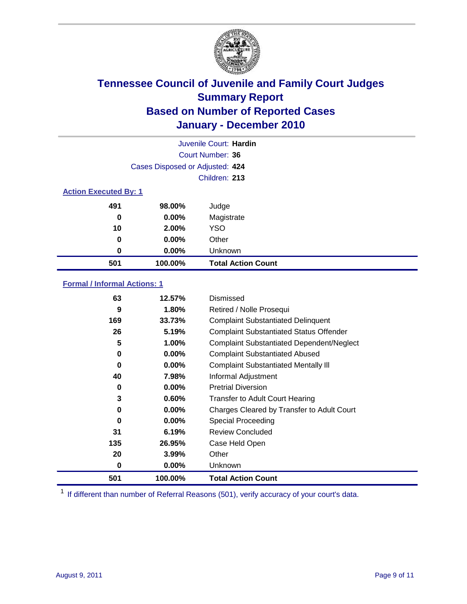

| Juvenile Court: Hardin       |                                 |                           |  |  |
|------------------------------|---------------------------------|---------------------------|--|--|
|                              | Court Number: 36                |                           |  |  |
|                              | Cases Disposed or Adjusted: 424 |                           |  |  |
|                              | Children: 213                   |                           |  |  |
| <b>Action Executed By: 1</b> |                                 |                           |  |  |
| 491                          | 98.00%                          | Judge                     |  |  |
| 0                            | $0.00\%$                        | Magistrate                |  |  |
| 10                           | 2.00%                           | <b>YSO</b>                |  |  |
| 0                            | 0.00%                           | Other                     |  |  |
| 0                            | 0.00%                           | Unknown                   |  |  |
| 501                          | 100.00%                         | <b>Total Action Count</b> |  |  |

### **Formal / Informal Actions: 1**

| 63       | 12.57%   | Dismissed                                        |
|----------|----------|--------------------------------------------------|
| 9        | 1.80%    | Retired / Nolle Prosequi                         |
| 169      | 33.73%   | <b>Complaint Substantiated Delinquent</b>        |
| 26       | 5.19%    | <b>Complaint Substantiated Status Offender</b>   |
| 5        | 1.00%    | <b>Complaint Substantiated Dependent/Neglect</b> |
| 0        | 0.00%    | <b>Complaint Substantiated Abused</b>            |
| $\bf{0}$ | $0.00\%$ | <b>Complaint Substantiated Mentally III</b>      |
| 40       | 7.98%    | Informal Adjustment                              |
| 0        | $0.00\%$ | <b>Pretrial Diversion</b>                        |
| 3        | 0.60%    | <b>Transfer to Adult Court Hearing</b>           |
| 0        | 0.00%    | Charges Cleared by Transfer to Adult Court       |
| 0        | $0.00\%$ | Special Proceeding                               |
| 31       | 6.19%    | <b>Review Concluded</b>                          |
| 135      | 26.95%   | Case Held Open                                   |
| 20       | 3.99%    | Other                                            |
| 0        | $0.00\%$ | <b>Unknown</b>                                   |
| 501      | 100.00%  | <b>Total Action Count</b>                        |

<sup>1</sup> If different than number of Referral Reasons (501), verify accuracy of your court's data.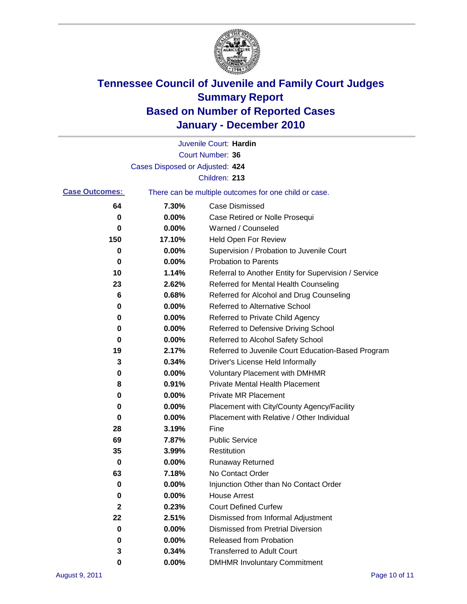

|                       |                                 | Juvenile Court: Hardin                                |
|-----------------------|---------------------------------|-------------------------------------------------------|
|                       |                                 | Court Number: 36                                      |
|                       | Cases Disposed or Adjusted: 424 |                                                       |
|                       |                                 | Children: 213                                         |
| <b>Case Outcomes:</b> |                                 | There can be multiple outcomes for one child or case. |
| 64                    | 7.30%                           | <b>Case Dismissed</b>                                 |
| 0                     | 0.00%                           | Case Retired or Nolle Prosequi                        |
| 0                     | 0.00%                           | Warned / Counseled                                    |
| 150                   | 17.10%                          | Held Open For Review                                  |
| 0                     | 0.00%                           | Supervision / Probation to Juvenile Court             |
| 0                     | 0.00%                           | <b>Probation to Parents</b>                           |
| 10                    | 1.14%                           | Referral to Another Entity for Supervision / Service  |
| 23                    | 2.62%                           | Referred for Mental Health Counseling                 |
| 6                     | 0.68%                           | Referred for Alcohol and Drug Counseling              |
| 0                     | 0.00%                           | <b>Referred to Alternative School</b>                 |
| 0                     | 0.00%                           | Referred to Private Child Agency                      |
| 0                     | 0.00%                           | Referred to Defensive Driving School                  |
| 0                     | 0.00%                           | Referred to Alcohol Safety School                     |
| 19                    | 2.17%                           | Referred to Juvenile Court Education-Based Program    |
| 3                     | 0.34%                           | Driver's License Held Informally                      |
| 0                     | 0.00%                           | <b>Voluntary Placement with DMHMR</b>                 |
| 8                     | 0.91%                           | <b>Private Mental Health Placement</b>                |
| 0                     | 0.00%                           | <b>Private MR Placement</b>                           |
| 0                     | 0.00%                           | Placement with City/County Agency/Facility            |
| 0                     | 0.00%                           | Placement with Relative / Other Individual            |
| 28                    | 3.19%                           | Fine                                                  |
| 69                    | 7.87%                           | <b>Public Service</b>                                 |
| 35                    | 3.99%                           | Restitution                                           |
| 0                     | 0.00%                           | Runaway Returned                                      |
| 63                    | 7.18%                           | No Contact Order                                      |
| 0                     | 0.00%                           | Injunction Other than No Contact Order                |
| 0                     | 0.00%                           | <b>House Arrest</b>                                   |
| $\mathbf{2}$          | 0.23%                           | <b>Court Defined Curfew</b>                           |
| 22                    | 2.51%                           | Dismissed from Informal Adjustment                    |
| 0                     | 0.00%                           | <b>Dismissed from Pretrial Diversion</b>              |
| 0                     | 0.00%                           | Released from Probation                               |
| 3                     | 0.34%                           | <b>Transferred to Adult Court</b>                     |
| 0                     | $0.00\%$                        | <b>DMHMR Involuntary Commitment</b>                   |